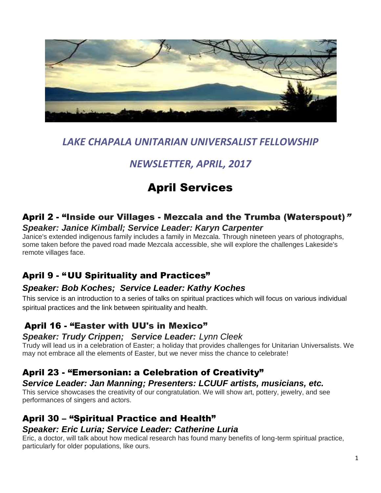

## *LAKE CHAPALA UNITARIAN UNIVERSALIST FELLOWSHIP*

## *NEWSLETTER, APRIL, 2017*

# April Services

#### April 2 - "Inside our Villages - Mezcala and the Trumba (Waterspout)" *Speaker: Janice Kimball; Service Leader: Karyn Carpenter*

Janice's extended indigenous family includes a family in Mezcala. Through nineteen years of photographs, some taken before the paved road made Mezcala accessible, she will explore the challenges Lakeside's remote villages face.

### April 9 - "UU Spirituality and Practices"

#### *Speaker: Bob Koches; Service Leader: Kathy Koches*

This service is an introduction to a series of talks on spiritual practices which will focus on various individual spiritual practices and the link between spirituality and health.

### April 16 - "Easter with UU's in Mexico"

#### *Speaker: Trudy Crippen; Service Leader: Lynn Cleek*

Trudy will lead us in a celebration of Easter; a holiday that provides challenges for Unitarian Universalists. We may not embrace all the elements of Easter, but we never miss the chance to celebrate!

#### April 23 - "Emersonian: a Celebration of Creativity"

#### *Service Leader: Jan Manning; Presenters: LCUUF artists, musicians, etc.*

This service showcases the creativity of our congratulation. We will show art, pottery, jewelry, and see performances of singers and actors.

#### April 30 – "Spiritual Practice and Health" *Speaker: Eric Luria; Service Leader: Catherine Luria*

Eric, a doctor, will talk about how medical research has found many benefits of long-term spiritual practice, particularly for older populations, like ours.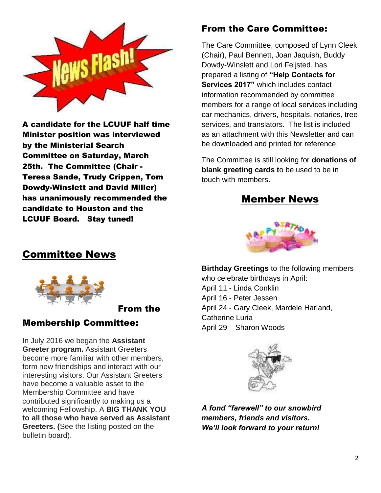

A candidate for the LCUUF half time Minister position was interviewed by the Ministerial Search Committee on Saturday, March 25th. The Committee (Chair - Teresa Sande, Trudy Crippen, Tom Dowdy-Winslett and David Miller) has unanimously recommended the candidate to Houston and the LCUUF Board. Stay tuned!

### From the Care Committee:

The Care Committee, composed of Lynn Cleek (Chair), Paul Bennett, Joan Jaquish, Buddy Dowdy-Winslett and Lori Feljsted, has prepared a listing of **"Help Contacts for Services 2017"** which includes contact information recommended by committee members for a range of local services including car mechanics, drivers, hospitals, notaries, tree services, and translators. The list is included as an attachment with this Newsletter and can be downloaded and printed for reference.

The Committee is still looking for **donations of blank greeting cards t**o be used to be in touch with members.

#### Member News



### Committee News



From the

#### Membership Committee:

In July 2016 we began the **Assistant Greeter program.** Assistant Greeters become more familiar with other members, form new friendships and interact with our interesting visitors. Our Assistant Greeters have become a valuable asset to the Membership Committee and have contributed significantly to making us a welcoming Fellowship. A **BIG THANK YOU to all those who have served as Assistant Greeters. (**See the listing posted on the bulletin board).

**Birthday Greetings** to the following members who celebrate birthdays in April: April 11 - Linda Conklin April 16 - Peter Jessen April 24 - Gary Cleek, Mardele Harland, Catherine Luria April 29 – Sharon Woods



*A fond "farewell" to our snowbird members, friends and visitors. We'll look forward to your return!*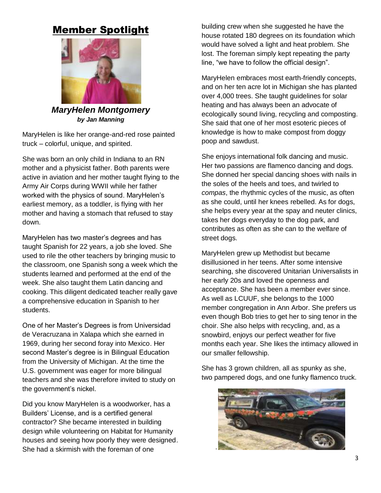### Member Spotlight



*MaryHelen Montgomery by Jan Manning*

MaryHelen is like her orange-and-red rose painted truck – colorful, unique, and spirited.

She was born an only child in Indiana to an RN mother and a physicist father. Both parents were active in aviation and her mother taught flying to the Army Air Corps during WWII while her father worked with the physics of sound. MaryHelen's earliest memory, as a toddler, is flying with her mother and having a stomach that refused to stay down.

MaryHelen has two master's degrees and has taught Spanish for 22 years, a job she loved. She used to rile the other teachers by bringing music to the classroom, one Spanish song a week which the students learned and performed at the end of the week. She also taught them Latin dancing and cooking. This diligent dedicated teacher really gave a comprehensive education in Spanish to her students.

One of her Master's Degrees is from Universidad de Veracruzana in Xalapa which she earned in 1969, during her second foray into Mexico. Her second Master's degree is in Bilingual Education from the University of Michigan. At the time the U.S. government was eager for more bilingual teachers and she was therefore invited to study on the government's nickel.

Did you know MaryHelen is a woodworker, has a Builders' License, and is a certified general contractor? She became interested in building design while volunteering on Habitat for Humanity houses and seeing how poorly they were designed. She had a skirmish with the foreman of one

building crew when she suggested he have the house rotated 180 degrees on its foundation which would have solved a light and heat problem. She lost. The foreman simply kept repeating the party line, "we have to follow the official design".

MaryHelen embraces most earth-friendly concepts, and on her ten acre lot in Michigan she has planted over 4,000 trees. She taught guidelines for solar heating and has always been an advocate of ecologically sound living, recycling and composting. She said that one of her most esoteric pieces of knowledge is how to make compost from doggy poop and sawdust.

She enjoys international folk dancing and music. Her two passions are flamenco dancing and dogs. She donned her special dancing shoes with nails in the soles of the heels and toes, and twirled to *compas*, the rhythmic cycles of the music, as often as she could, until her knees rebelled. As for dogs, she helps every year at the spay and neuter clinics, takes her dogs everyday to the dog park, and contributes as often as she can to the welfare of street dogs.

MaryHelen grew up Methodist but became disillusioned in her teens. After some intensive searching, she discovered Unitarian Universalists in her early 20s and loved the openness and acceptance. She has been a member ever since. As well as LCUUF, she belongs to the 1000 member congregation in Ann Arbor. She prefers us even though Bob tries to get her to sing tenor in the choir. She also helps with recycling, and, as a snowbird, enjoys our perfect weather for five months each year. She likes the intimacy allowed in our smaller fellowship.

She has 3 grown children, all as spunky as she, two pampered dogs, and one funky flamenco truck.

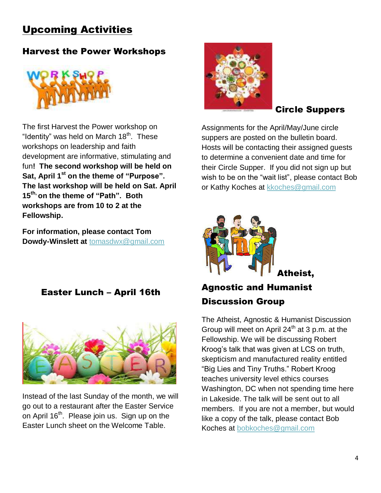## Upcoming Activities

### Harvest the Power Workshops



The first Harvest the Power workshop on "Identity" was held on March  $18<sup>th</sup>$ . These workshops on leadership and faith development are informative, stimulating and fun**! The second workshop will be held on Sat, April 1st on the theme of "Purpose". The last workshop will be held on Sat. April 15th, on the theme of "Path". Both workshops are from 10 to 2 at the Fellowship.** 

**For information, please contact Tom Dowdy-Winslett at** [tomasdwx@gmail.com](mailto:tomasdwx@gmail.com)

Easter Lunch – April 16th



Instead of the last Sunday of the month, we will go out to a restaurant after the Easter Service on April 16<sup>th</sup>. Please join us. Sign up on the Easter Lunch sheet on the Welcome Table.



#### Circle Suppers

Assignments for the April/May/June circle suppers are posted on the bulletin board. Hosts will be contacting their assigned guests to determine a convenient date and time for their Circle Supper. If you did not sign up but wish to be on the "wait list", please contact Bob or Kathy Koches at [kkoches@gmail.com](mailto:kkoches@gmail.com)



## Agnostic and Humanist Discussion Group

The Atheist, Agnostic & Humanist Discussion Group will meet on April  $24<sup>th</sup>$  at 3 p.m. at the Fellowship. We will be discussing Robert Kroog's talk that was given at LCS on truth, skepticism and manufactured reality entitled "Big Lies and Tiny Truths." Robert Kroog teaches university level ethics courses Washington, DC when not spending time here in Lakeside. The talk will be sent out to all members. If you are not a member, but would like a copy of the talk, please contact Bob Koches at [bobkoches@gmail.com](mailto:bobkoches@gmail.com)